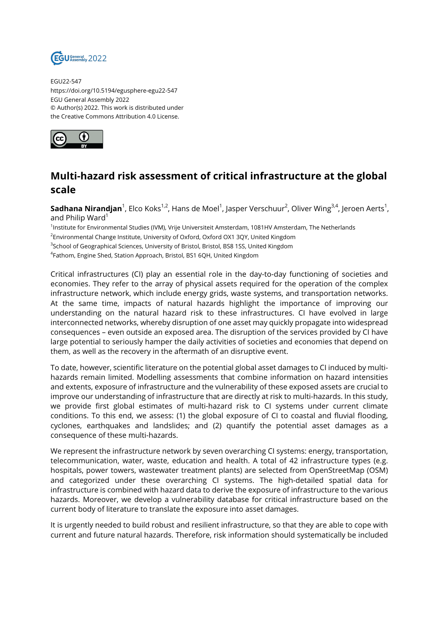

EGU22-547 https://doi.org/10.5194/egusphere-egu22-547 EGU General Assembly 2022 © Author(s) 2022. This work is distributed under the Creative Commons Attribution 4.0 License.



## **Multi-hazard risk assessment of critical infrastructure at the global scale**

**Sadhana Nirandjan**<sup>1</sup>, Elco Koks<sup>1,2</sup>, Hans de Moel<sup>1</sup>, Jasper Verschuur<sup>2</sup>, Oliver Wing<sup>3,4</sup>, Jeroen Aerts<sup>1</sup>, and Philip Ward<sup>1</sup>

1 Institute for Environmental Studies (IVM), Vrije Universiteit Amsterdam, 1081HV Amsterdam, The Netherlands

 $^2$ Environmental Change Institute, University of Oxford, Oxford OX1 3QY, United Kingdom

<sup>3</sup>School of Geographical Sciences, University of Bristol, Bristol, BS8 1SS, United Kingdom

<sup>4</sup>Fathom, Engine Shed, Station Approach, Bristol, BS1 6QH, United Kingdom

Critical infrastructures (CI) play an essential role in the day-to-day functioning of societies and economies. They refer to the array of physical assets required for the operation of the complex infrastructure network, which include energy grids, waste systems, and transportation networks. At the same time, impacts of natural hazards highlight the importance of improving our understanding on the natural hazard risk to these infrastructures. CI have evolved in large interconnected networks, whereby disruption of one asset may quickly propagate into widespread consequences – even outside an exposed area. The disruption of the services provided by CI have large potential to seriously hamper the daily activities of societies and economies that depend on them, as well as the recovery in the aftermath of an disruptive event.

To date, however, scientific literature on the potential global asset damages to CI induced by multihazards remain limited. Modelling assessments that combine information on hazard intensities and extents, exposure of infrastructure and the vulnerability of these exposed assets are crucial to improve our understanding of infrastructure that are directly at risk to multi-hazards. In this study, we provide first global estimates of multi-hazard risk to CI systems under current climate conditions. To this end, we assess: (1) the global exposure of CI to coastal and fluvial flooding, cyclones, earthquakes and landslides; and (2) quantify the potential asset damages as a consequence of these multi-hazards.

We represent the infrastructure network by seven overarching CI systems: energy, transportation, telecommunication, water, waste, education and health. A total of 42 infrastructure types (e.g. hospitals, power towers, wastewater treatment plants) are selected from OpenStreetMap (OSM) and categorized under these overarching CI systems. The high-detailed spatial data for infrastructure is combined with hazard data to derive the exposure of infrastructure to the various hazards. Moreover, we develop a vulnerability database for critical infrastructure based on the current body of literature to translate the exposure into asset damages.

It is urgently needed to build robust and resilient infrastructure, so that they are able to cope with current and future natural hazards. Therefore, risk information should systematically be included